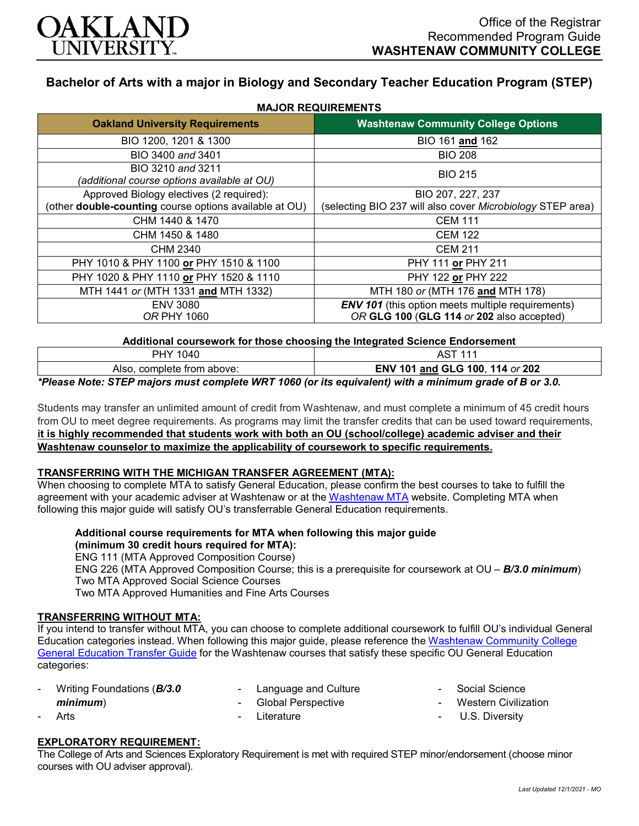

# **Bachelor of Arts with a major in Biology and Secondary Teacher Education Program (STEP)**

| <b>Oakland University Requirements</b>                                                                    | <b>Washtenaw Community College Options</b>                                                            |
|-----------------------------------------------------------------------------------------------------------|-------------------------------------------------------------------------------------------------------|
| BIO 1200, 1201 & 1300                                                                                     | BIO 161 and 162                                                                                       |
| BIO 3400 and 3401                                                                                         | <b>BIO 208</b>                                                                                        |
| BIO 3210 and 3211<br>(additional course options available at OU)                                          | <b>BIO 215</b>                                                                                        |
| Approved Biology electives (2 required):<br>(other <b>double-counting</b> course options available at OU) | BIO 207, 227, 237<br>(selecting BIO 237 will also cover Microbiology STEP area)                       |
| CHM 1440 & 1470                                                                                           | <b>CEM 111</b>                                                                                        |
| CHM 1450 & 1480                                                                                           | <b>CEM 122</b>                                                                                        |
| CHM 2340                                                                                                  | <b>CEM 211</b>                                                                                        |
| PHY 1010 & PHY 1100 or PHY 1510 & 1100                                                                    | PHY 111 or PHY 211                                                                                    |
| PHY 1020 & PHY 1110 or PHY 1520 & 1110                                                                    | PHY 122 or PHY 222                                                                                    |
| MTH 1441 or (MTH 1331 and MTH 1332)                                                                       | MTH 180 or (MTH 176 and MTH 178)                                                                      |
| <b>ENV 3080</b><br><b>OR PHY 1060</b>                                                                     | <b>ENV 101</b> (this option meets multiple requirements)<br>OR GLG 100 (GLG 114 or 202 also accepted) |

**Additional coursework for those choosing the Integrated Science Endorsement**

| 1040<br><b>PHY</b>                                                                         |                                 |
|--------------------------------------------------------------------------------------------|---------------------------------|
| complete from above:<br>Also.                                                              | ENV 101 and GLG 100, 114 or 202 |
| $\mathbf{A}$ and $\mathbf{B}$<br>$\mathbf{r}$ in the state of $\mathbf{r}$<br>. . <b>.</b> | .<br>.                          |

*\*Please Note: STEP majors must complete WRT 1060 (or its equivalent) with a minimum grade of B or 3.0.*

Students may transfer an unlimited amount of credit from Washtenaw, and must complete a minimum of 45 credit hours from OU to meet degree requirements. As programs may limit the transfer credits that can be used toward requirements, **it is highly recommended that students work with both an OU (school/college) academic adviser and their Washtenaw counselor to maximize the applicability of coursework to specific requirements.**

#### **TRANSFERRING WITH THE MICHIGAN TRANSFER AGREEMENT (MTA):**

When choosing to complete MTA to satisfy General Education, please confirm the best courses to take to fulfill the agreement with your academic adviser at Washtenaw or at the [Washtenaw MTA](https://www.wccnet.edu/learn/transfer-wcc-credits/mta.php) website. Completing MTA when following this major guide will satisfy OU's transferrable General Education requirements.

**Additional course requirements for MTA when following this major guide** 

## **(minimum 30 credit hours required for MTA):**

ENG 111 (MTA Approved Composition Course) ENG 226 (MTA Approved Composition Course; this is a prerequisite for coursework at OU – *B/3.0 minimum*) Two MTA Approved Social Science Courses Two MTA Approved Humanities and Fine Arts Courses

#### **TRANSFERRING WITHOUT MTA:**

If you intend to transfer without MTA, you can choose to complete additional coursework to fulfill OU's individual General Education categories instead. When following this major guide, please reference th[e Washtenaw Community College](https://www.oakland.edu/Assets/Oakland/program-guides/washtenaw-community-college/university-general-education-requirements/Washtenaw%20Gen%20Ed.pdf)  [General Education Transfer Guide](https://www.oakland.edu/Assets/Oakland/program-guides/washtenaw-community-college/university-general-education-requirements/Washtenaw%20Gen%20Ed.pdf) for the Washtenaw courses that satisfy these specific OU General Education categories:

- Writing Foundations (*B/3.0 minimum*)
- Language and Culture - Global Perspective

- Literature

- Social Science
- Western Civilization
- U.S. Diversity

# **EXPLORATORY REQUIREMENT:**

Arts

The College of Arts and Sciences Exploratory Requirement is met with required STEP minor/endorsement (choose minor courses with OU adviser approval).